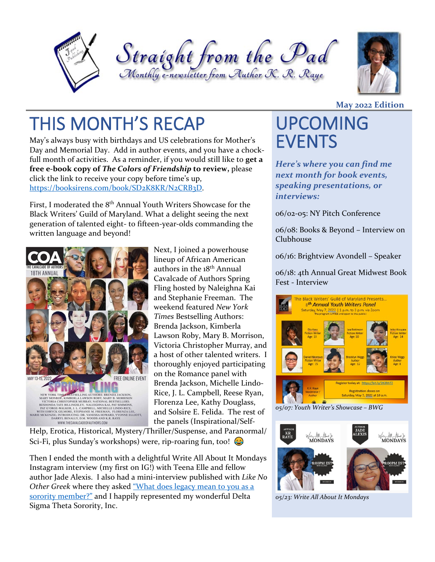





# THIS MONTH'S RECAP UPCOMING

May's always busy with birthdays and US celebrations for Mother's Day and Memorial Day. Add in author events, and you have a chockfull month of activities. As a reminder, if you would still like to **get a free e-book copy of** *The Colors of Friendship* **to review,** please click the link to receive your copy before time's up, [https://booksirens.com/book/SD2K8KR/N2CRB3D.](https://booksirens.com/book/SD2K8KR/N2CRB3D)

First, I moderated the 8<sup>th</sup> Annual Youth Writers Showcase for the Black Writers' Guild of Maryland. What a delight seeing the next generation of talented eight- to fifteen-year-olds commanding the written language and beyond!



Next, I joined a powerhouse lineup of African American authors in the 18th Annual Cavalcade of Authors Spring Fling hosted by Naleighna Kai and Stephanie Freeman. The weekend featured *New York Times* Bestselling Authors: Brenda Jackson, Kimberla Lawson Roby, Mary B. Morrison, Victoria Christopher Murray, and a host of other talented writers. I thoroughly enjoyed participating on the Romance panel with Brenda Jackson, Michelle Lindo-Rice, J. L. Campbell, Reese Ryan, Florenza Lee, Kathy Douglass, and Solsire E. Felida. The rest of the panels (Inspirational/Self-

Help, Erotica, Historical, Mystery/Thriller/Suspense, and Paranormal/ Sci-Fi, plus Sunday's workshops) were, rip-roaring fun, too!  $\bigodot$ 

Then I ended the month with a delightful Write All About It Mondays Instagram interview (my first on IG!) with Teena Elle and fellow author Jade Alexis. I also had a mini-interview published with *Like No Other Greek* where they asked ["What does legacy mean to you as a](https://lnogreek.com/what-does-legacy-mean-to-you-as-a.../)  [sorority member?"](https://lnogreek.com/what-does-legacy-mean-to-you-as-a.../) and I happily represented my wonderful Delta Sigma Theta Sorority, Inc.

### **May 2022 Edition**

# **EVENTS**

*Here's where you can find me next month for book events, speaking presentations, or interviews:*

06/02-05: NY Pitch Conference

06/08: Books & Beyond – Interview on Clubhouse

06/16: Brightview Avondell – Speaker

06/18: 4th Annual Great Midwest Book Fest - Interview



*05/07: Youth Writer's Showcase – BWG*



*05/23: Write All About It Mondays*